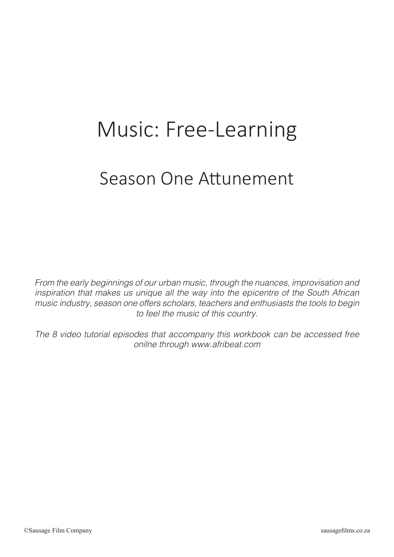## Music: Free-Learning

## Season One Attunement

*From the early beginnings of our urban music, through the nuances, improvisation and inspiration that makes us unique all the way into the epicentre of the South African music industry, season one offers scholars, teachers and enthusiasts the tools to begin to feel the music of this country.*

*The 8 video tutorial episodes that accompany this workbook can be accessed free onilne through www.afribeat.com*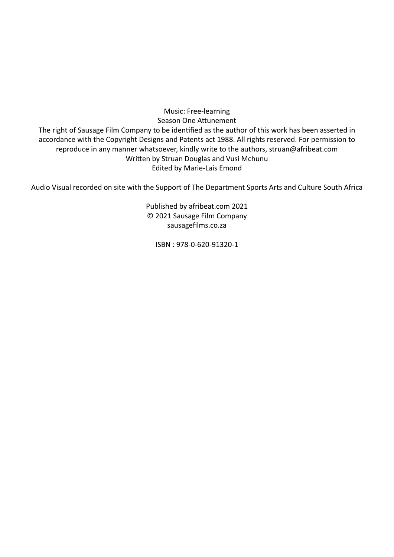Music: Free-learning Season One Attunement The right of Sausage Film Company to be identified as the author of this work has been asserted in accordance with the Copyright Designs and Patents act 1988. All rights reserved. For permission to reproduce in any manner whatsoever, kindly write to the authors, struan@afribeat.com Written by Struan Douglas and Vusi Mchunu Edited by Marie-Lais Emond

Audio Visual recorded on site with the Support of The Department Sports Arts and Culture South Africa

Published by afribeat.com 2021 © 2021 Sausage Film Company sausagefilms.co.za

ISBN : 978-0-620-91320-1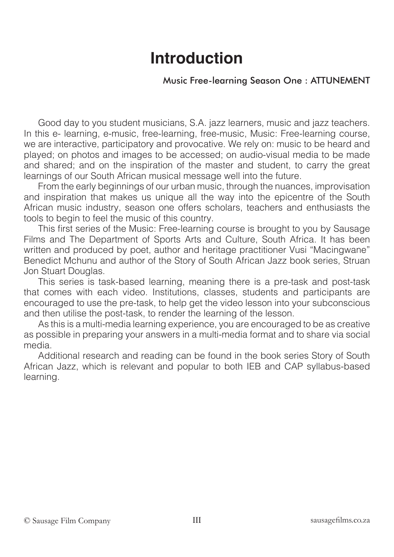### **Introduction**

#### Music Free-learning Season One : ATTUNEMENT

Good day to you student musicians, S.A. jazz learners, music and jazz teachers. In this e- learning, e-music, free-learning, free-music, Music: Free-learning course, we are interactive, participatory and provocative. We rely on: music to be heard and played; on photos and images to be accessed; on audio-visual media to be made and shared; and on the inspiration of the master and student, to carry the great learnings of our South African musical message well into the future.

From the early beginnings of our urban music, through the nuances, improvisation and inspiration that makes us unique all the way into the epicentre of the South African music industry, season one offers scholars, teachers and enthusiasts the tools to begin to feel the music of this country.

This first series of the Music: Free-learning course is brought to you by Sausage Films and The Department of Sports Arts and Culture, South Africa. It has been written and produced by poet, author and heritage practitioner Vusi "Macingwane" Benedict Mchunu and author of the Story of South African Jazz book series, Struan Jon Stuart Douglas.

This series is task-based learning, meaning there is a pre-task and post-task that comes with each video. Institutions, classes, students and participants are encouraged to use the pre-task, to help get the video lesson into your subconscious and then utilise the post-task, to render the learning of the lesson.

As this is a multi-media learning experience, you are encouraged to be as creative as possible in preparing your answers in a multi-media format and to share via social media.

Additional research and reading can be found in the book series Story of South African Jazz, which is relevant and popular to both IEB and CAP syllabus-based learning.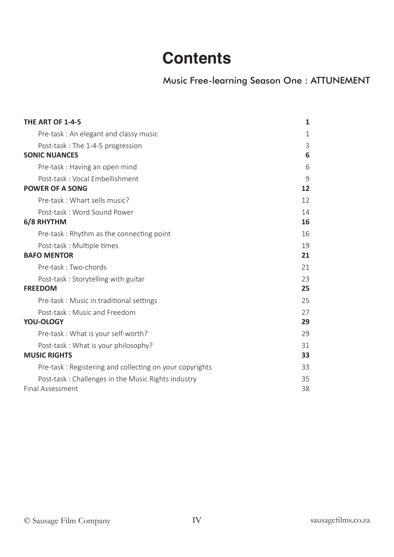### **Contents**

Music Free-learning Season One : ATTUNEMENT

| THE ART OF 1-4-5                                        | 1           |
|---------------------------------------------------------|-------------|
| Pre-task: An elegant and classy music                   | $\mathbf 1$ |
| Post-task : The 1-4-5 progression                       | 3           |
| <b>SONIC NUANCES</b>                                    | 6           |
| Pre-task: Having an open mind                           | 6           |
| Post-task: Vocal Embellishment                          | 9           |
| <b>POWER OF A SONG</b>                                  | 12          |
| Pre-task: Whart sells music?                            | 12          |
| Post-task: Word Sound Power                             | 14          |
| 6/8 RHYTHM                                              | 16          |
| Pre-task: Rhythm as the connecting point                | 16          |
| Post-task : Multiple times                              | 19          |
| <b>BAFO MENTOR</b>                                      | 21          |
| Pre-task: Two-chords                                    | 21          |
| Post-task: Storytelling with guitar                     | 23          |
| <b>FREEDOM</b>                                          | 25          |
| Pre-task: Music in traditional settings                 | 25          |
| Post-task: Music and Freedom                            | 27          |
| YOU-OLOGY                                               | 29          |
| Pre-task: What is your self-worth?                      | 29          |
| Post-task: What is your philosophy?                     | 31          |
| <b>MUSIC RIGHTS</b>                                     | 33          |
| Pre-task: Registering and collecting on your copyrights | 33          |
| Post-task: Challenges in the Music Rights industry      | 35          |
| Final Assessment                                        | 38          |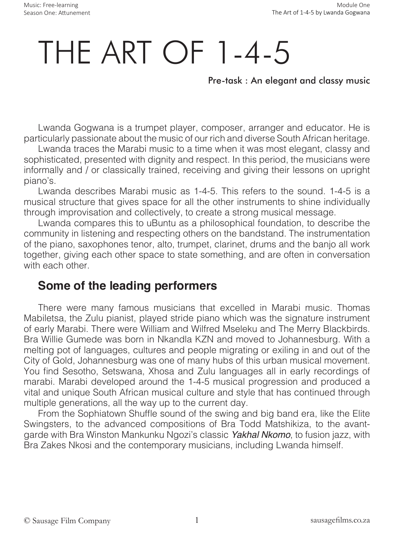# THE ART OF 1-4-5

#### Pre-task : An elegant and classy music

Lwanda Gogwana is a trumpet player, composer, arranger and educator. He is particularly passionate about the music of our rich and diverse South African heritage.

Lwanda traces the Marabi music to a time when it was most elegant, classy and sophisticated, presented with dignity and respect. In this period, the musicians were informally and / or classically trained, receiving and giving their lessons on upright piano's.

Lwanda describes Marabi music as 1-4-5. This refers to the sound. 1-4-5 is a musical structure that gives space for all the other instruments to shine individually through improvisation and collectively, to create a strong musical message.

Lwanda compares this to uBuntu as a philosophical foundation, to describe the community in listening and respecting others on the bandstand. The instrumentation of the piano, saxophones tenor, alto, trumpet, clarinet, drums and the banjo all work together, giving each other space to state something, and are often in conversation with each other

#### **Some of the leading performers**

There were many famous musicians that excelled in Marabi music. Thomas Mabiletsa, the Zulu pianist, played stride piano which was the signature instrument of early Marabi. There were William and Wilfred Mseleku and The Merry Blackbirds. Bra Willie Gumede was born in Nkandla KZN and moved to Johannesburg. With a melting pot of languages, cultures and people migrating or exiling in and out of the City of Gold, Johannesburg was one of many hubs of this urban musical movement. You find Sesotho, Setswana, Xhosa and Zulu languages all in early recordings of marabi. Marabi developed around the 1-4-5 musical progression and produced a vital and unique South African musical culture and style that has continued through multiple generations, all the way up to the current day.

From the Sophiatown Shuffle sound of the swing and big band era, like the Elite Swingsters, to the advanced compositions of Bra Todd Matshikiza, to the avantgarde with Bra Winston Mankunku Ngozi's classic *Yakhal Nkomo*, to fusion jazz, with Bra Zakes Nkosi and the contemporary musicians, including Lwanda himself.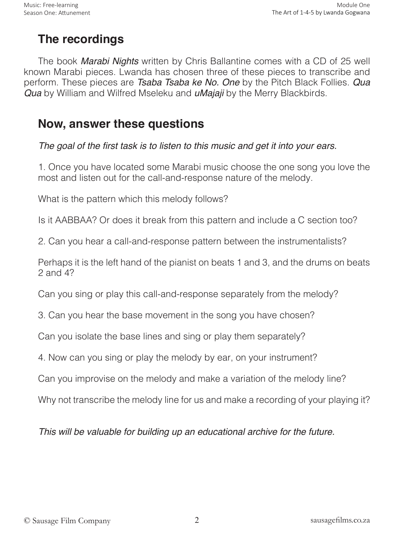### **The recordings**

The book *Marabi Nights* written by Chris Ballantine comes with a CD of 25 well known Marabi pieces. Lwanda has chosen three of these pieces to transcribe and perform. These pieces are *Tsaba Tsaba ke No. One* by the Pitch Black Follies. *Qua Qua* by William and Wilfred Mseleku and *uMajaji* by the Merry Blackbirds.

### **Now, answer these questions**

The goal of the first task is to listen to this music and get it into your ears.

1. Once you have located some Marabi music choose the one song you love the most and listen out for the call-and-response nature of the melody.

What is the pattern which this melody follows?

Is it AABBAA? Or does it break from this pattern and include a C section too?

2. Can you hear a call-and-response pattern between the instrumentalists?

Perhaps it is the left hand of the pianist on beats 1 and 3, and the drums on beats 2 and 4?

Can you sing or play this call-and-response separately from the melody?

3. Can you hear the base movement in the song you have chosen?

Can you isolate the base lines and sing or play them separately?

4. Now can you sing or play the melody by ear, on your instrument?

Can you improvise on the melody and make a variation of the melody line?

Why not transcribe the melody line for us and make a recording of your playing it?

This will be valuable for building up an educational archive for the future.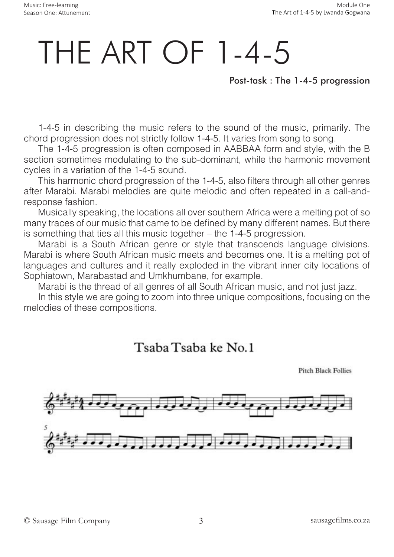# THE ART OF 1-4-5

Post-task : The 1-4-5 progression

1-4-5 in describing the music refers to the sound of the music, primarily. The chord progression does not strictly follow 1-4-5. It varies from song to song.

The 1-4-5 progression is often composed in AABBAA form and style, with the B section sometimes modulating to the sub-dominant, while the harmonic movement cycles in a variation of the 1-4-5 sound.

This harmonic chord progression of the 1-4-5, also filters through all other genres after Marabi. Marabi melodies are quite melodic and often repeated in a call-andresponse fashion.

Musically speaking, the locations all over southern Africa were a melting pot of so many traces of our music that came to be defined by many different names. But there is something that ties all this music together – the 1-4-5 progression.

Marabi is a South African genre or style that transcends language divisions. Marabi is where South African music meets and becomes one. It is a melting pot of languages and cultures and it really exploded in the vibrant inner city locations of Sophiatown, Marabastad and Umkhumbane, for example.

Marabi is the thread of all genres of all South African music, and not just jazz.

In this style we are going to zoom into three unique compositions, focusing on the melodies of these compositions.

### Tsaba Tsaba ke No.1

**Pitch Black Follies** 

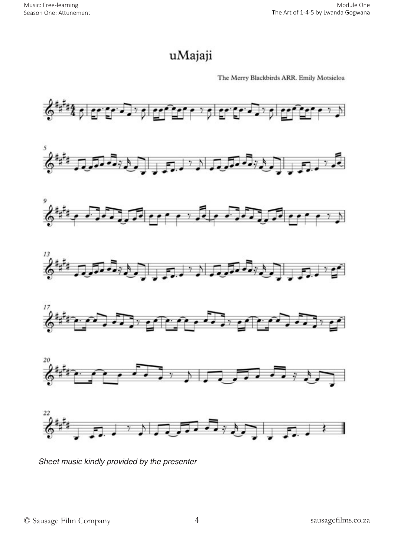### uMajaji

The Merry Blackbirds ARR. Emily Motsieloa



Sheet music kindly provided by the presenter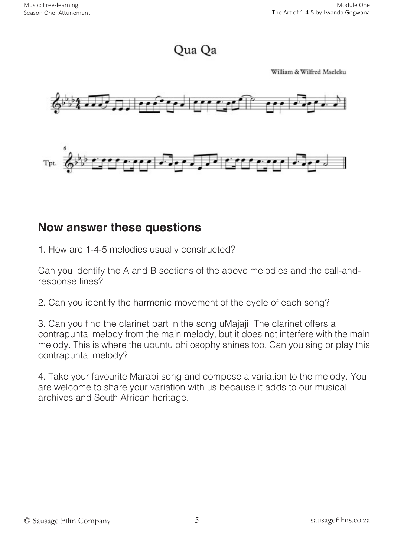Qua Qa

William & Wilfred Mseleku



### **Now answer these questions**

1. How are 1-4-5 melodies usually constructed?

Can you identify the A and B sections of the above melodies and the call-andresponse lines?

2. Can you identify the harmonic movement of the cycle of each song?

3. Can you find the clarinet part in the song uMajaji. The clarinet offers a contrapuntal melody from the main melody, but it does not interfere with the main melody. This is where the ubuntu philosophy shines too. Can you sing or play this contrapuntal melody?

4. Take your favourite Marabi song and compose a variation to the melody. You are welcome to share your variation with us because it adds to our musical archives and South African heritage.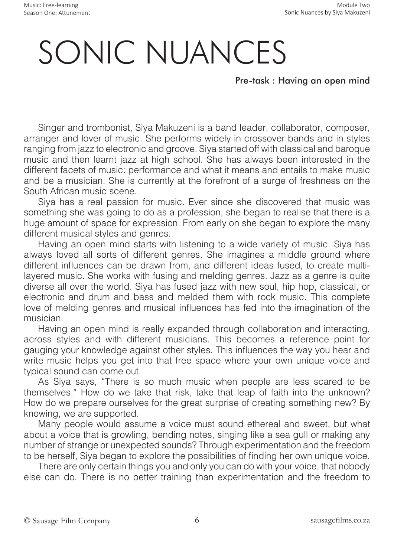# SONIC NUANCES

Pre-task : Having an open mind

Singer and trombonist, Siya Makuzeni is a band leader, collaborator, composer, arranger and lover of music. She performs widely in crossover bands and in styles ranging from jazz to electronic and groove. Siya started off with classical and baroque music and then learnt jazz at high school. She has always been interested in the different facets of music: performance and what it means and entails to make music and be a musician. She is currently at the forefront of a surge of freshness on the South African music scene.

Siya has a real passion for music. Ever since she discovered that music was something she was going to do as a profession, she began to realise that there is a huge amount of space for expression. From early on she began to explore the many different musical styles and genres.

Having an open mind starts with listening to a wide variety of music. Siya has always loved all sorts of different genres. She imagines a middle ground where different influences can be drawn from, and different ideas fused, to create multilayered music. She works with fusing and melding genres. Jazz as a genre is quite diverse all over the world. Siya has fused jazz with new soul, hip hop, classical, or electronic and drum and bass and melded them with rock music. This complete love of melding genres and musical influences has fed into the imagination of the musician.

Having an open mind is really expanded through collaboration and interacting, across styles and with different musicians. This becomes a reference point for gauging your knowledge against other styles. This influences the way you hear and write music helps you get into that free space where your own unique voice and typical sound can come out.

As Siya says, "There is so much music when people are less scared to be themselves." How do we take that risk, take that leap of faith into the unknown? How do we prepare ourselves for the great surprise of creating something new? By knowing, we are supported.

Many people would assume a voice must sound ethereal and sweet, but what about a voice that is growling, bending notes, singing like a sea gull or making any number of strange or unexpected sounds? Through experimentation and the freedom to be herself, Siya began to explore the possibilities of finding her own unique voice.

There are only certain things you and only you can do with your voice, that nobody else can do. There is no better training than experimentation and the freedom to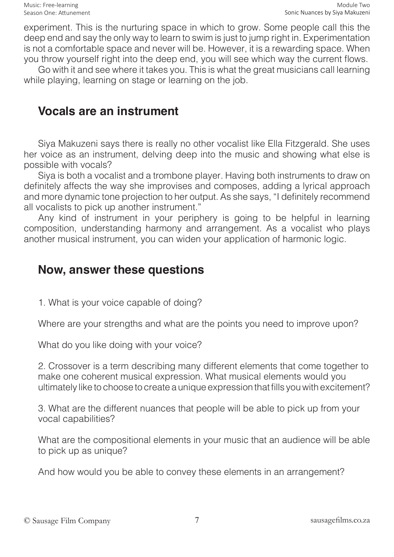experiment. This is the nurturing space in which to grow. Some people call this the deep end and say the only way to learn to swim is just to jump right in. Experimentation is not a comfortable space and never will be. However, it is a rewarding space. When you throw yourself right into the deep end, you will see which way the current flows.

Go with it and see where it takes you. This is what the great musicians call learning while playing, learning on stage or learning on the job.

#### **Vocals are an instrument**

Siya Makuzeni says there is really no other vocalist like Ella Fitzgerald. She uses her voice as an instrument, delving deep into the music and showing what else is possible with vocals?

Siya is both a vocalist and a trombone player. Having both instruments to draw on definitely affects the way she improvises and composes, adding a lyrical approach and more dynamic tone projection to her output. As she says, "I definitely recommend all vocalists to pick up another instrument."

Any kind of instrument in your periphery is going to be helpful in learning composition, understanding harmony and arrangement. As a vocalist who plays another musical instrument, you can widen your application of harmonic logic.

#### **Now, answer these questions**

1. What is your voice capable of doing?

Where are your strengths and what are the points you need to improve upon?

What do you like doing with your voice?

2. Crossover is a term describing many different elements that come together to make one coherent musical expression. What musical elements would you ultimately like to choose to create a unique expression that fills you with excitement?

3. What are the different nuances that people will be able to pick up from your vocal capabilities?

What are the compositional elements in your music that an audience will be able to pick up as unique?

And how would you be able to convey these elements in an arrangement?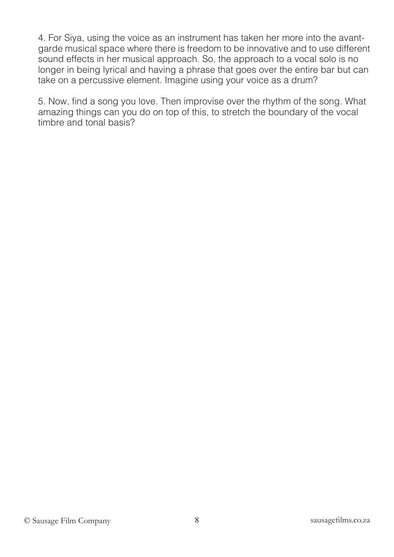4. For Siya, using the voice as an instrument has taken her more into the avantgarde musical space where there is freedom to be innovative and to use different sound effects in her musical approach. So, the approach to a vocal solo is no longer in being lyrical and having a phrase that goes over the entire bar but can take on a percussive element. Imagine using your voice as a drum?

5. Now, find a song you love. Then improvise over the rhythm of the song. What amazing things can you do on top of this, to stretch the boundary of the vocal timbre and tonal basis?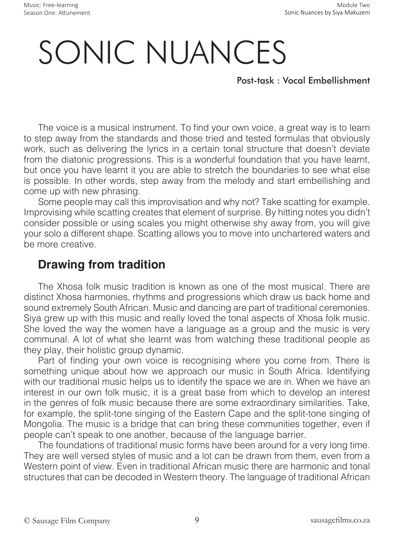# SONIC NUANCES

Post-task : Vocal Embellishment

The voice is a musical instrument. To find your own voice, a great way is to learn to step away from the standards and those tried and tested formulas that obviously work, such as delivering the lyrics in a certain tonal structure that doesn't deviate from the diatonic progressions. This is a wonderful foundation that you have learnt, but once you have learnt it you are able to stretch the boundaries to see what else is possible. In other words, step away from the melody and start embellishing and come up with new phrasing.

Some people may call this improvisation and why not? Take scatting for example. Improvising while scatting creates that element of surprise. By hitting notes you didn't consider possible or using scales you might otherwise shy away from, you will give your solo a different shape. Scatting allows you to move into unchartered waters and be more creative.

### **Drawing from tradition**

The Xhosa folk music tradition is known as one of the most musical. There are distinct Xhosa harmonies, rhythms and progressions which draw us back home and sound extremely South African. Music and dancing are part of traditional ceremonies. Siya grew up with this music and really loved the tonal aspects of Xhosa folk music. She loved the way the women have a language as a group and the music is very communal. A lot of what she learnt was from watching these traditional people as they play, their holistic group dynamic.

Part of finding your own voice is recognising where you come from. There is something unique about how we approach our music in South Africa. Identifying with our traditional music helps us to identify the space we are in. When we have an interest in our own folk music, it is a great base from which to develop an interest in the genres of folk music because there are some extraordinary similarities. Take, for example, the split-tone singing of the Eastern Cape and the split-tone singing of Mongolia. The music is a bridge that can bring these communities together, even if people can't speak to one another, because of the language barrier.

The foundations of traditional music forms have been around for a very long time. They are well versed styles of music and a lot can be drawn from them, even from a Western point of view. Even in traditional African music there are harmonic and tonal structures that can be decoded in Western theory. The language of traditional African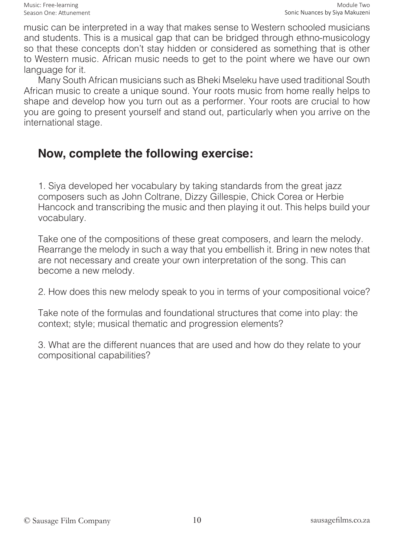music can be interpreted in a way that makes sense to Western schooled musicians and students. This is a musical gap that can be bridged through ethno-musicology so that these concepts don't stay hidden or considered as something that is other to Western music. African music needs to get to the point where we have our own language for it.

Many South African musicians such as Bheki Mseleku have used traditional South African music to create a unique sound. Your roots music from home really helps to shape and develop how you turn out as a performer. Your roots are crucial to how you are going to present yourself and stand out, particularly when you arrive on the international stage.

### **Now, complete the following exercise:**

1. Siya developed her vocabulary by taking standards from the great jazz composers such as John Coltrane, Dizzy Gillespie, Chick Corea or Herbie Hancock and transcribing the music and then playing it out. This helps build your vocabulary.

Take one of the compositions of these great composers, and learn the melody. Rearrange the melody in such a way that you embellish it. Bring in new notes that are not necessary and create your own interpretation of the song. This can become a new melody.

2. How does this new melody speak to you in terms of your compositional voice?

Take note of the formulas and foundational structures that come into play: the context; style; musical thematic and progression elements?

3. What are the different nuances that are used and how do they relate to your compositional capabilities?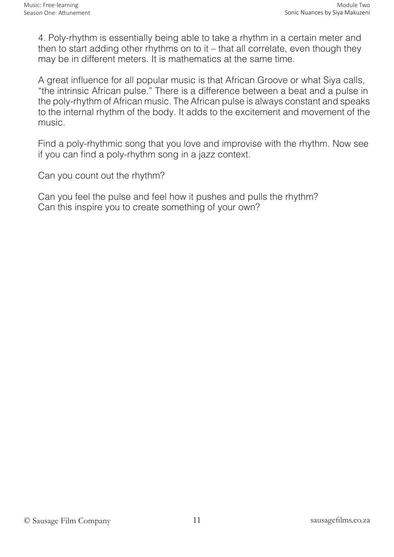4. Poly-rhythm is essentially being able to take a rhythm in a certain meter and then to start adding other rhythms on to it – that all correlate, even though they may be in different meters. It is mathematics at the same time.

A great influence for all popular music is that African Groove or what Siya calls, "the intrinsic African pulse." There is a difference between a beat and a pulse in the poly-rhythm of African music. The African pulse is always constant and speaks to the internal rhythm of the body. It adds to the excitement and movement of the music.

Find a poly-rhythmic song that you love and improvise with the rhythm. Now see if you can find a poly-rhythm song in a jazz context.

Can you count out the rhythm?

Can you feel the pulse and feel how it pushes and pulls the rhythm? Can this inspire you to create something of your own?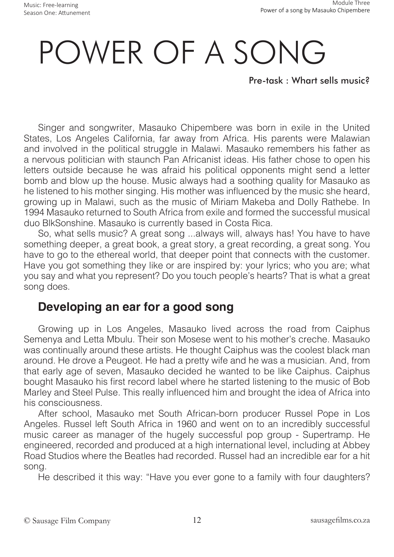# POWER OF A SONG

Pre-task : Whart sells music?

Singer and songwriter, Masauko Chipembere was born in exile in the United States, Los Angeles California, far away from Africa. His parents were Malawian and involved in the political struggle in Malawi. Masauko remembers his father as a nervous politician with staunch Pan Africanist ideas. His father chose to open his letters outside because he was afraid his political opponents might send a letter bomb and blow up the house. Music always had a soothing quality for Masauko as he listened to his mother singing. His mother was influenced by the music she heard, growing up in Malawi, such as the music of Miriam Makeba and Dolly Rathebe. In 1994 Masauko returned to South Africa from exile and formed the successful musical duo BlkSonshine. Masauko is currently based in Costa Rica.

So, what sells music? A great song ...always will, always has! You have to have something deeper, a great book, a great story, a great recording, a great song. You have to go to the ethereal world, that deeper point that connects with the customer. Have you got something they like or are inspired by: your lyrics; who you are; what you say and what you represent? Do you touch people's hearts? That is what a great song does.

### **Developing an ear for a good song**

Growing up in Los Angeles, Masauko lived across the road from Caiphus Semenya and Letta Mbulu. Their son Mosese went to his mother's creche. Masauko was continually around these artists. He thought Caiphus was the coolest black man around. He drove a Peugeot. He had a pretty wife and he was a musician. And, from that early age of seven, Masauko decided he wanted to be like Caiphus. Caiphus bought Masauko his first record label where he started listening to the music of Bob Marley and Steel Pulse. This really influenced him and brought the idea of Africa into his consciousness.

After school, Masauko met South African-born producer Russel Pope in Los Angeles. Russel left South Africa in 1960 and went on to an incredibly successful music career as manager of the hugely successful pop group - Supertramp. He engineered, recorded and produced at a high international level, including at Abbey Road Studios where the Beatles had recorded. Russel had an incredible ear for a hit song.

He described it this way: "Have you ever gone to a family with four daughters?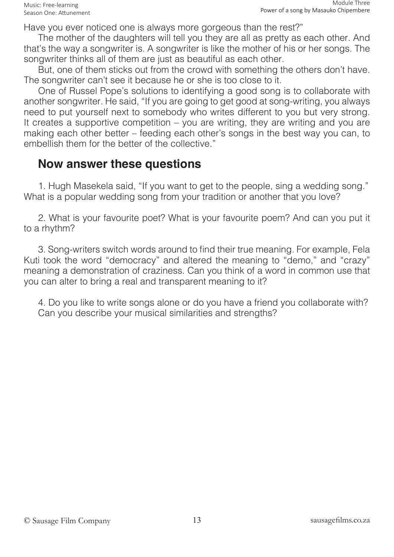Have you ever noticed one is always more gorgeous than the rest?"

The mother of the daughters will tell you they are all as pretty as each other. And that's the way a songwriter is. A songwriter is like the mother of his or her songs. The songwriter thinks all of them are just as beautiful as each other.

But, one of them sticks out from the crowd with something the others don't have. The songwriter can't see it because he or she is too close to it.

One of Russel Pope's solutions to identifying a good song is to collaborate with another songwriter. He said, "If you are going to get good at song-writing, you always need to put yourself next to somebody who writes different to you but very strong. It creates a supportive competition – you are writing, they are writing and you are making each other better – feeding each other's songs in the best way you can, to embellish them for the better of the collective."

#### **Now answer these questions**

1. Hugh Masekela said, "If you want to get to the people, sing a wedding song." What is a popular wedding song from your tradition or another that you love?

2. What is your favourite poet? What is your favourite poem? And can you put it to a rhythm?

3. Song-writers switch words around to find their true meaning. For example, Fela Kuti took the word "democracy" and altered the meaning to "demo," and "crazy" meaning a demonstration of craziness. Can you think of a word in common use that you can alter to bring a real and transparent meaning to it?

4. Do you like to write songs alone or do you have a friend you collaborate with? Can you describe your musical similarities and strengths?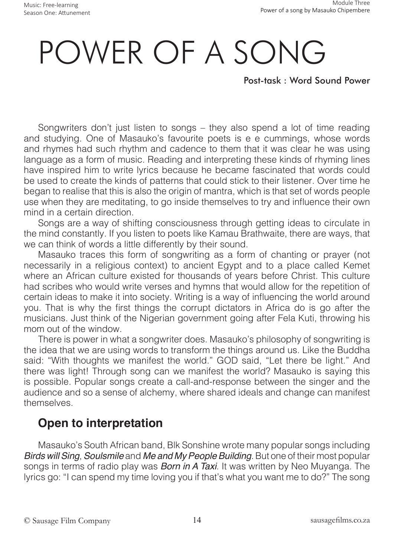# POWER OF A SONG

Post-task : Word Sound Power

Songwriters don't just listen to songs – they also spend a lot of time reading and studying. One of Masauko's favourite poets is e e cummings, whose words and rhymes had such rhythm and cadence to them that it was clear he was using language as a form of music. Reading and interpreting these kinds of rhyming lines have inspired him to write lyrics because he became fascinated that words could be used to create the kinds of patterns that could stick to their listener. Over time he began to realise that this is also the origin of mantra, which is that set of words people use when they are meditating, to go inside themselves to try and influence their own mind in a certain direction.

Songs are a way of shifting consciousness through getting ideas to circulate in the mind constantly. If you listen to poets like Kamau Brathwaite, there are ways, that we can think of words a little differently by their sound.

Masauko traces this form of songwriting as a form of chanting or prayer (not necessarily in a religious context) to ancient Egypt and to a place called Kemet where an African culture existed for thousands of years before Christ. This culture had scribes who would write verses and hymns that would allow for the repetition of certain ideas to make it into society. Writing is a way of influencing the world around you. That is why the first things the corrupt dictators in Africa do is go after the musicians. Just think of the Nigerian government going after Fela Kuti, throwing his mom out of the window.

There is power in what a songwriter does. Masauko's philosophy of songwriting is the idea that we are using words to transform the things around us. Like the Buddha said: "With thoughts we manifest the world." GOD said, "Let there be light." And there was light! Through song can we manifest the world? Masauko is saying this is possible. Popular songs create a call-and-response between the singer and the audience and so a sense of alchemy, where shared ideals and change can manifest themselves.

### **Open to interpretation**

Masauko's South African band, Blk Sonshine wrote many popular songs including Birds will Sing, *Soulsmile* and Me and My People Building. But one of their most popular songs in terms of radio play was *Born in A Taxi*. It was written by Neo Muyanga. The lyrics go: "I can spend my time loving you if that's what you want me to do?" The song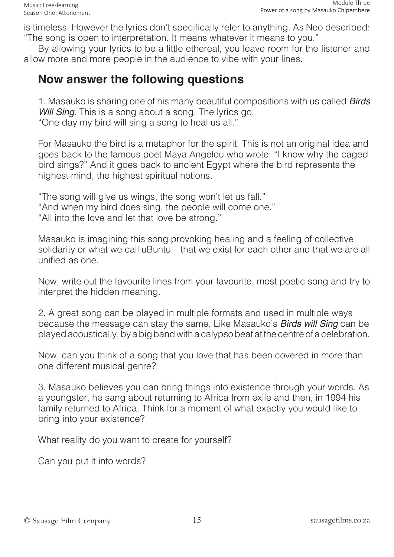is timeless. However the lyrics don't specifically refer to anything. As Neo described: "The song is open to interpretation. It means whatever it means to you."

By allowing your lyrics to be a little ethereal, you leave room for the listener and allow more and more people in the audience to vibe with your lines.

#### **Now answer the following questions**

1. Masauko is sharing one of his many beautiful compositions with us called **Birds** *Will Sing*. This is a song about a song. The lyrics go: "One day my bird will sing a song to heal us all."

For Masauko the bird is a metaphor for the spirit. This is not an original idea and goes back to the famous poet Maya Angelou who wrote: "I know why the caged bird sings?" And it goes back to ancient Egypt where the bird represents the highest mind, the highest spiritual notions.

"The song will give us wings, the song won't let us fall." "And when my bird does sing, the people will come one." "All into the love and let that love be strong."

Masauko is imagining this song provoking healing and a feeling of collective solidarity or what we call uBuntu – that we exist for each other and that we are all unified as one.

Now, write out the favourite lines from your favourite, most poetic song and try to interpret the hidden meaning.

2. A great song can be played in multiple formats and used in multiple ways because the message can stay the same. Like Masauko's **Birds will Sing** can be played acoustically, by a big band with a calypso beat at the centre of a celebration.

Now, can you think of a song that you love that has been covered in more than one different musical genre?

3. Masauko believes you can bring things into existence through your words. As a youngster, he sang about returning to Africa from exile and then, in 1994 his family returned to Africa. Think for a moment of what exactly you would like to bring into your existence?

What reality do you want to create for yourself?

Can you put it into words?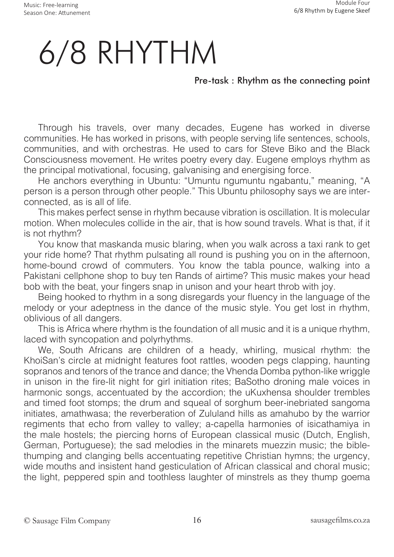# 6/8 RHYTHM

#### Pre-task : Rhythm as the connecting point

Through his travels, over many decades, Eugene has worked in diverse communities. He has worked in prisons, with people serving life sentences, schools, communities, and with orchestras. He used to cars for Steve Biko and the Black Consciousness movement. He writes poetry every day. Eugene employs rhythm as the principal motivational, focusing, galvanising and energising force.

He anchors everything in Ubuntu: "Umuntu ngumuntu ngabantu," meaning, "A person is a person through other people." This Ubuntu philosophy says we are interconnected, as is all of life.

This makes perfect sense in rhythm because vibration is oscillation. It is molecular motion. When molecules collide in the air, that is how sound travels. What is that, if it is not rhythm?

You know that maskanda music blaring, when you walk across a taxi rank to get your ride home? That rhythm pulsating all round is pushing you on in the afternoon, home-bound crowd of commuters. You know the tabla pounce, walking into a Pakistani cellphone shop to buy ten Rands of airtime? This music makes your head bob with the beat, your fingers snap in unison and your heart throb with joy.

Being hooked to rhythm in a song disregards your fluency in the language of the melody or your adeptness in the dance of the music style. You get lost in rhythm, oblivious of all dangers.

This is Africa where rhythm is the foundation of all music and it is a unique rhythm, laced with syncopation and polyrhythms.

We, South Africans are children of a heady, whirling, musical rhythm: the KhoiSan's circle at midnight features foot rattles, wooden pegs clapping, haunting sopranos and tenors of the trance and dance; the Vhenda Domba python-like wriggle in unison in the fire-lit night for girl initiation rites; BaSotho droning male voices in harmonic songs, accentuated by the accordion; the uKuxhensa shoulder trembles and timed foot stomps; the drum and squeal of sorghum beer-inebriated sangoma initiates, amathwasa; the reverberation of Zululand hills as amahubo by the warrior regiments that echo from valley to valley; a-capella harmonies of isicathamiya in the male hostels; the piercing horns of European classical music (Dutch, English, German, Portuguese); the sad melodies in the minarets muezzin music; the biblethumping and clanging bells accentuating repetitive Christian hymns; the urgency, wide mouths and insistent hand gesticulation of African classical and choral music; the light, peppered spin and toothless laughter of minstrels as they thump goema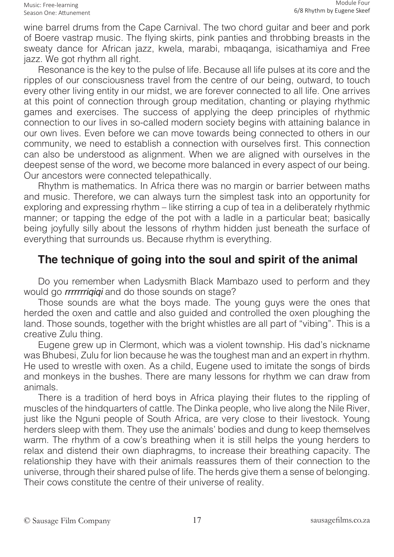wine barrel drums from the Cape Carnival. The two chord guitar and beer and pork of Boere vastrap music. The flying skirts, pink panties and throbbing breasts in the sweaty dance for African jazz, kwela, marabi, mbaqanga, isicathamiya and Free jazz. We got rhythm all right.

Resonance is the key to the pulse of life. Because all life pulses at its core and the ripples of our consciousness travel from the centre of our being, outward, to touch every other living entity in our midst, we are forever connected to all life. One arrives at this point of connection through group meditation, chanting or playing rhythmic games and exercises. The success of applying the deep principles of rhythmic connection to our lives in so-called modern society begins with attaining balance in our own lives. Even before we can move towards being connected to others in our community, we need to establish a connection with ourselves first. This connection can also be understood as alignment. When we are aligned with ourselves in the deepest sense of the word, we become more balanced in every aspect of our being. Our ancestors were connected telepathically.

Rhythm is mathematics. In Africa there was no margin or barrier between maths and music. Therefore, we can always turn the simplest task into an opportunity for exploring and expressing rhythm – like stirring a cup of tea in a deliberately rhythmic manner; or tapping the edge of the pot with a ladle in a particular beat; basically being joyfully silly about the lessons of rhythm hidden just beneath the surface of everything that surrounds us. Because rhythm is everything.

#### **The technique of going into the soul and spirit of the animal**

Do you remember when Ladysmith Black Mambazo used to perform and they would go *rrrrrrriqiqi* and do those sounds on stage?

Those sounds are what the boys made. The young guys were the ones that herded the oxen and cattle and also guided and controlled the oxen ploughing the land. Those sounds, together with the bright whistles are all part of "vibing". This is a creative Zulu thing.

Eugene grew up in Clermont, which was a violent township. His dad's nickname was Bhubesi, Zulu for lion because he was the toughest man and an expert in rhythm. He used to wrestle with oxen. As a child, Eugene used to imitate the songs of birds and monkeys in the bushes. There are many lessons for rhythm we can draw from animals.

There is a tradition of herd boys in Africa playing their flutes to the rippling of muscles of the hindquarters of cattle. The Dinka people, who live along the Nile River, just like the Nguni people of South Africa, are very close to their livestock. Young herders sleep with them. They use the animals' bodies and dung to keep themselves warm. The rhythm of a cow's breathing when it is still helps the young herders to relax and distend their own diaphragms, to increase their breathing capacity. The relationship they have with their animals reassures them of their connection to the universe, through their shared pulse of life. The herds give them a sense of belonging. Their cows constitute the centre of their universe of reality.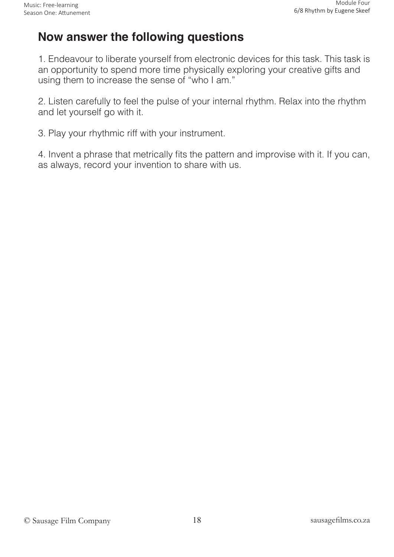### **Now answer the following questions**

1. Endeavour to liberate yourself from electronic devices for this task. This task is an opportunity to spend more time physically exploring your creative gifts and using them to increase the sense of "who I am."

2. Listen carefully to feel the pulse of your internal rhythm. Relax into the rhythm and let yourself go with it.

3. Play your rhythmic riff with your instrument.

4. Invent a phrase that metrically fits the pattern and improvise with it. If you can, as always, record your invention to share with us.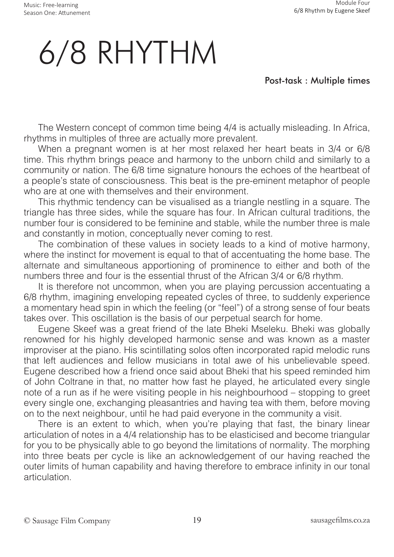# 6/8 RHYTHM

#### Post-task : Multiple times

The Western concept of common time being 4/4 is actually misleading. In Africa, rhythms in multiples of three are actually more prevalent.

When a pregnant women is at her most relaxed her heart beats in 3/4 or 6/8 time. This rhythm brings peace and harmony to the unborn child and similarly to a community or nation. The 6/8 time signature honours the echoes of the heartbeat of a people's state of consciousness. This beat is the pre-eminent metaphor of people who are at one with themselves and their environment.

This rhythmic tendency can be visualised as a triangle nestling in a square. The triangle has three sides, while the square has four. In African cultural traditions, the number four is considered to be feminine and stable, while the number three is male and constantly in motion, conceptually never coming to rest.

The combination of these values in society leads to a kind of motive harmony, where the instinct for movement is equal to that of accentuating the home base. The alternate and simultaneous apportioning of prominence to either and both of the numbers three and four is the essential thrust of the African 3/4 or 6/8 rhythm.

It is therefore not uncommon, when you are playing percussion accentuating a 6/8 rhythm, imagining enveloping repeated cycles of three, to suddenly experience a momentary head spin in which the feeling (or "feel") of a strong sense of four beats takes over. This oscillation is the basis of our perpetual search for home.

Eugene Skeef was a great friend of the late Bheki Mseleku. Bheki was globally renowned for his highly developed harmonic sense and was known as a master improviser at the piano. His scintillating solos often incorporated rapid melodic runs that left audiences and fellow musicians in total awe of his unbelievable speed. Eugene described how a friend once said about Bheki that his speed reminded him of John Coltrane in that, no matter how fast he played, he articulated every single note of a run as if he were visiting people in his neighbourhood – stopping to greet every single one, exchanging pleasantries and having tea with them, before moving on to the next neighbour, until he had paid everyone in the community a visit.

There is an extent to which, when you're playing that fast, the binary linear articulation of notes in a 4/4 relationship has to be elasticised and become triangular for you to be physically able to go beyond the limitations of normality. The morphing into three beats per cycle is like an acknowledgement of our having reached the outer limits of human capability and having therefore to embrace infinity in our tonal articulation.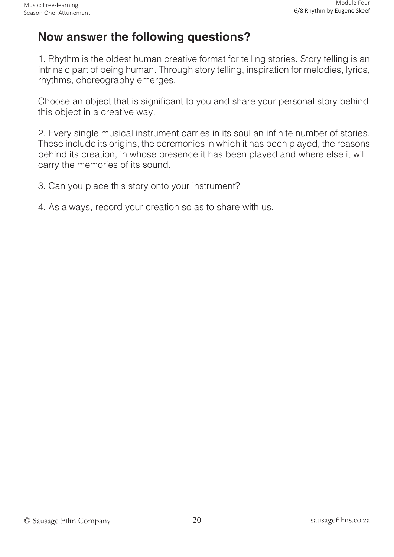### **Now answer the following questions?**

1. Rhythm is the oldest human creative format for telling stories. Story telling is an intrinsic part of being human. Through story telling, inspiration for melodies, lyrics, rhythms, choreography emerges.

Choose an object that is significant to you and share your personal story behind this object in a creative way.

2. Every single musical instrument carries in its soul an infinite number of stories. These include its origins, the ceremonies in which it has been played, the reasons behind its creation, in whose presence it has been played and where else it will carry the memories of its sound.

3. Can you place this story onto your instrument?

4. As always, record your creation so as to share with us.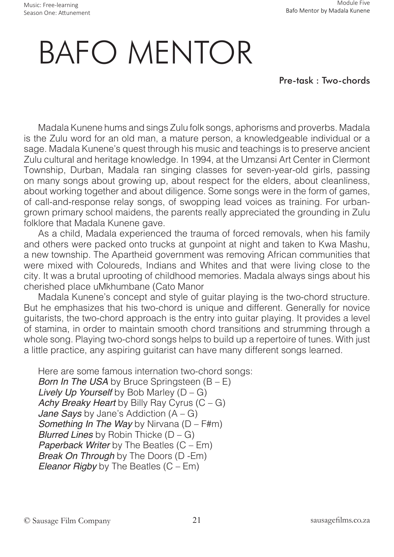Music: Free-learning Season One: Attunement

# BAFO MENTOR

Pre-task : Two-chords

Madala Kunene hums and sings Zulu folk songs, aphorisms and proverbs. Madala is the Zulu word for an old man, a mature person, a knowledgeable individual or a sage. Madala Kunene's quest through his music and teachings is to preserve ancient Zulu cultural and heritage knowledge. In 1994, at the Umzansi Art Center in Clermont Township, Durban, Madala ran singing classes for seven-year-old girls, passing on many songs about growing up, about respect for the elders, about cleanliness, about working together and about diligence. Some songs were in the form of games, of call-and-response relay songs, of swopping lead voices as training. For urbangrown primary school maidens, the parents really appreciated the grounding in Zulu folklore that Madala Kunene gave.

As a child, Madala experienced the trauma of forced removals, when his family and others were packed onto trucks at gunpoint at night and taken to Kwa Mashu, a new township. The Apartheid government was removing African communities that were mixed with Coloureds, Indians and Whites and that were living close to the city. It was a brutal uprooting of childhood memories. Madala always sings about his cherished place uMkhumbane (Cato Manor

Madala Kunene's concept and style of guitar playing is the two-chord structure. But he emphasizes that his two-chord is unique and different. Generally for novice guitarists, the two-chord approach is the entry into guitar playing. It provides a level of stamina, in order to maintain smooth chord transitions and strumming through a whole song. Playing two-chord songs helps to build up a repertoire of tunes. With just a little practice, any aspiring guitarist can have many different songs learned.

Here are some famous internation two-chord songs: *Born In The USA* by Bruce Springsteen (B – E) Lively Up Yourself by Bob Marley  $(D - G)$ Achy Breaky Heart by Billy Ray Cyrus  $(C - G)$ Jane Says by Jane's Addiction  $(A - G)$ **Something In The Way by Nirvana (D – F#m)** Blurred Lines by Robin Thicke  $(D - G)$ Paperback Writer by The Beatles  $(C - Em)$ *Break On Through* by The Doors (D -Em) Eleanor Rigby by The Beatles  $(C - Em)$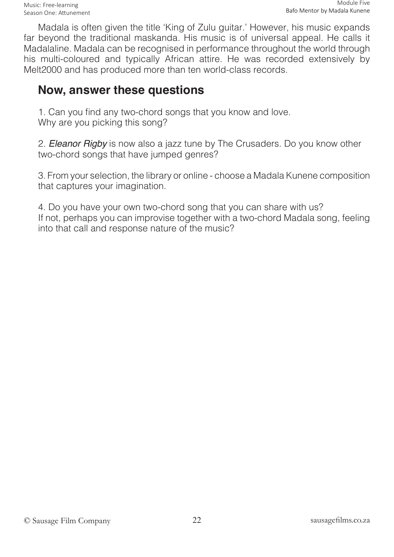Madala is often given the title 'King of Zulu guitar.' However, his music expands far beyond the traditional maskanda. His music is of universal appeal. He calls it Madalaline. Madala can be recognised in performance throughout the world through his multi-coloured and typically African attire. He was recorded extensively by Melt2000 and has produced more than ten world-class records.

### **Now, answer these questions**

1. Can you find any two-chord songs that you know and love. Why are you picking this song?

2. Eleanor Rigby is now also a jazz tune by The Crusaders. Do you know other two-chord songs that have jumped genres?

3. From your selection, the library or online - choose a Madala Kunene composition that captures your imagination.

4. Do you have your own two-chord song that you can share with us? If not, perhaps you can improvise together with a two-chord Madala song, feeling into that call and response nature of the music?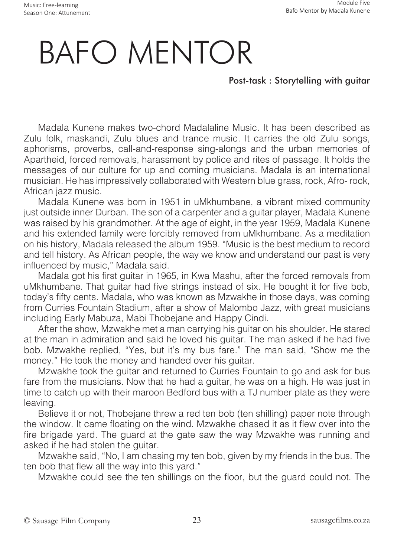# BAFO MENTOR

#### Post-task : Storytelling with guitar

Madala Kunene makes two-chord Madalaline Music. It has been described as Zulu folk, maskandi, Zulu blues and trance music. It carries the old Zulu songs, aphorisms, proverbs, call-and-response sing-alongs and the urban memories of Apartheid, forced removals, harassment by police and rites of passage. It holds the messages of our culture for up and coming musicians. Madala is an international musician. He has impressively collaborated with Western blue grass, rock, Afro- rock, African jazz music.

Madala Kunene was born in 1951 in uMkhumbane, a vibrant mixed community just outside inner Durban. The son of a carpenter and a guitar player, Madala Kunene was raised by his grandmother. At the age of eight, in the year 1959, Madala Kunene and his extended family were forcibly removed from uMkhumbane. As a meditation on his history, Madala released the album 1959. "Music is the best medium to record and tell history. As African people, the way we know and understand our past is very influenced by music," Madala said.

Madala got his first guitar in 1965, in Kwa Mashu, after the forced removals from uMkhumbane. That guitar had five strings instead of six. He bought it for five bob, today's fifty cents. Madala, who was known as Mzwakhe in those days, was coming from Curries Fountain Stadium, after a show of Malombo Jazz, with great musicians including Early Mabuza, Mabi Thobejane and Happy Cindi.

After the show, Mzwakhe met a man carrying his guitar on his shoulder. He stared at the man in admiration and said he loved his guitar. The man asked if he had five bob. Mzwakhe replied, "Yes, but it's my bus fare." The man said, "Show me the money." He took the money and handed over his guitar.

Mzwakhe took the guitar and returned to Curries Fountain to go and ask for bus fare from the musicians. Now that he had a guitar, he was on a high. He was just in time to catch up with their maroon Bedford bus with a TJ number plate as they were leaving.

Believe it or not, Thobejane threw a red ten bob (ten shilling) paper note through the window. It came floating on the wind. Mzwakhe chased it as it flew over into the fire brigade yard. The guard at the gate saw the way Mzwakhe was running and asked if he had stolen the guitar.

Mzwakhe said, "No, I am chasing my ten bob, given by my friends in the bus. The ten bob that flew all the way into this yard."

Mzwakhe could see the ten shillings on the floor, but the guard could not. The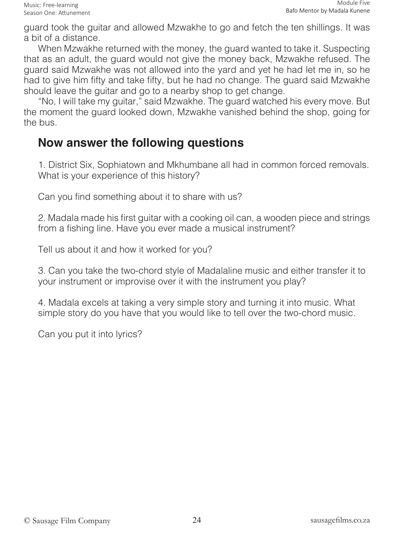guard took the guitar and allowed Mzwakhe to go and fetch the ten shillings. It was a bit of a distance.

When Mzwakhe returned with the money, the guard wanted to take it. Suspecting that as an adult, the guard would not give the money back, Mzwakhe refused. The guard said Mzwakhe was not allowed into the yard and yet he had let me in, so he had to give him fifty and take fifty, but he had no change. The guard said Mzwakhe should leave the guitar and go to a nearby shop to get change.

"No, I will take my guitar," said Mzwakhe. The guard watched his every move. But the moment the guard looked down, Mzwakhe vanished behind the shop, going for the bus.

### **Now answer the following questions**

1. District Six, Sophiatown and Mkhumbane all had in common forced removals. What is your experience of this history?

Can you find something about it to share with us?

2. Madala made his first guitar with a cooking oil can, a wooden piece and strings from a fishing line. Have you ever made a musical instrument?

Tell us about it and how it worked for you?

3. Can you take the two-chord style of Madalaline music and either transfer it to your instrument or improvise over it with the instrument you play?

4. Madala excels at taking a very simple story and turning it into music. What simple story do you have that you would like to tell over the two-chord music.

Can you put it into lyrics?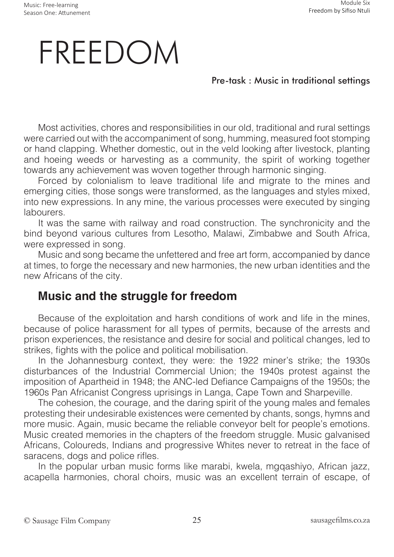# FREEDOM

#### Pre-task : Music in traditional settings

Most activities, chores and responsibilities in our old, traditional and rural settings were carried out with the accompaniment of song, humming, measured foot stomping or hand clapping. Whether domestic, out in the veld looking after livestock, planting and hoeing weeds or harvesting as a community, the spirit of working together towards any achievement was woven together through harmonic singing.

Forced by colonialism to leave traditional life and migrate to the mines and emerging cities, those songs were transformed, as the languages and styles mixed, into new expressions. In any mine, the various processes were executed by singing labourers.

It was the same with railway and road construction. The synchronicity and the bind beyond various cultures from Lesotho, Malawi, Zimbabwe and South Africa, were expressed in song.

Music and song became the unfettered and free art form, accompanied by dance at times, to forge the necessary and new harmonies, the new urban identities and the new Africans of the city.

### **Music and the struggle for freedom**

Because of the exploitation and harsh conditions of work and life in the mines, because of police harassment for all types of permits, because of the arrests and prison experiences, the resistance and desire for social and political changes, led to strikes, fights with the police and political mobilisation.

In the Johannesburg context, they were: the 1922 miner's strike; the 1930s disturbances of the Industrial Commercial Union; the 1940s protest against the imposition of Apartheid in 1948; the ANC-led Defiance Campaigns of the 1950s; the 1960s Pan Africanist Congress uprisings in Langa, Cape Town and Sharpeville.

The cohesion, the courage, and the daring spirit of the young males and females protesting their undesirable existences were cemented by chants, songs, hymns and more music. Again, music became the reliable conveyor belt for people's emotions. Music created memories in the chapters of the freedom struggle. Music galvanised Africans, Coloureds, Indians and progressive Whites never to retreat in the face of saracens, dogs and police rifles.

In the popular urban music forms like marabi, kwela, mgqashiyo, African jazz, acapella harmonies, choral choirs, music was an excellent terrain of escape, of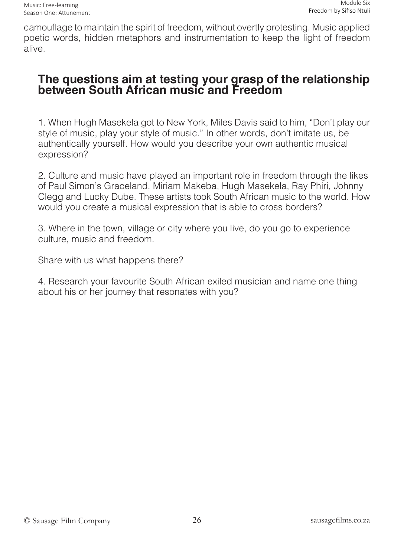camouflage to maintain the spirit of freedom, without overtly protesting. Music applied poetic words, hidden metaphors and instrumentation to keep the light of freedom alive.

#### **The questions aim at testing your grasp of the relationship between South African music and Freedom**

1. When Hugh Masekela got to New York, Miles Davis said to him, "Don't play our style of music, play your style of music." In other words, don't imitate us, be authentically yourself. How would you describe your own authentic musical expression?

2. Culture and music have played an important role in freedom through the likes of Paul Simon's Graceland, Miriam Makeba, Hugh Masekela, Ray Phiri, Johnny Clegg and Lucky Dube. These artists took South African music to the world. How would you create a musical expression that is able to cross borders?

3. Where in the town, village or city where you live, do you go to experience culture, music and freedom.

Share with us what happens there?

4. Research your favourite South African exiled musician and name one thing about his or her journey that resonates with you?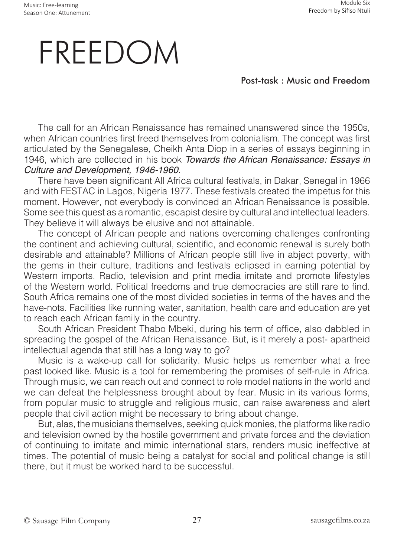## FREEDOM

Post-task : Music and Freedom

The call for an African Renaissance has remained unanswered since the 1950s, when African countries first freed themselves from colonialism. The concept was first articulated by the Senegalese, Cheikh Anta Diop in a series of essays beginning in 1946, which are collected in his book Towards the African Renaissance: Essays in Culture and Development, 1946-1960.

There have been significant All Africa cultural festivals, in Dakar, Senegal in 1966 and with FESTAC in Lagos, Nigeria 1977. These festivals created the impetus for this moment. However, not everybody is convinced an African Renaissance is possible. Some see this quest as a romantic, escapist desire by cultural and intellectual leaders. They believe it will always be elusive and not attainable.

The concept of African people and nations overcoming challenges confronting the continent and achieving cultural, scientific, and economic renewal is surely both desirable and attainable? Millions of African people still live in abject poverty, with the gems in their culture, traditions and festivals eclipsed in earning potential by Western imports. Radio, television and print media imitate and promote lifestyles of the Western world. Political freedoms and true democracies are still rare to find. South Africa remains one of the most divided societies in terms of the haves and the have-nots. Facilities like running water, sanitation, health care and education are yet to reach each African family in the country.

South African President Thabo Mbeki, during his term of office, also dabbled in spreading the gospel of the African Renaissance. But, is it merely a post- apartheid intellectual agenda that still has a long way to go?

Music is a wake-up call for solidarity. Music helps us remember what a free past looked like. Music is a tool for remembering the promises of self-rule in Africa. Through music, we can reach out and connect to role model nations in the world and we can defeat the helplessness brought about by fear. Music in its various forms, from popular music to struggle and religious music, can raise awareness and alert people that civil action might be necessary to bring about change.

But, alas, the musicians themselves, seeking quick monies, the platforms like radio and television owned by the hostile government and private forces and the deviation of continuing to imitate and mimic international stars, renders music ineffective at times. The potential of music being a catalyst for social and political change is still there, but it must be worked hard to be successful.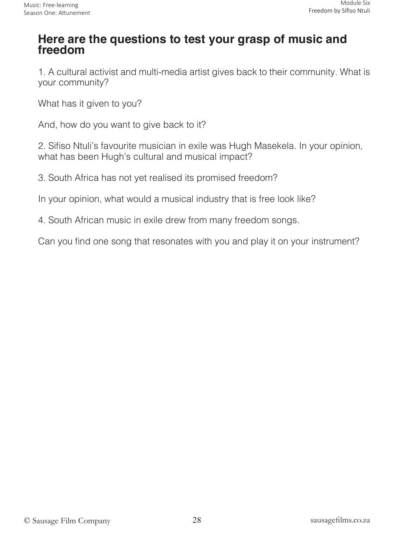### **Here are the questions to test your grasp of music and freedom**

1. A cultural activist and multi-media artist gives back to their community. What is your community?

What has it given to you?

And, how do you want to give back to it?

2. Sifiso Ntuli's favourite musician in exile was Hugh Masekela. In your opinion, what has been Hugh's cultural and musical impact?

3. South Africa has not yet realised its promised freedom?

In your opinion, what would a musical industry that is free look like?

4. South African music in exile drew from many freedom songs.

Can you find one song that resonates with you and play it on your instrument?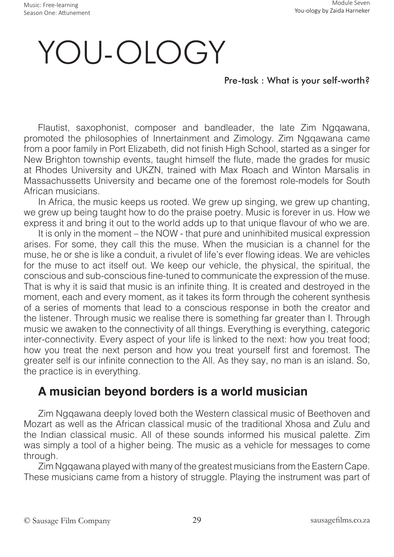Music: Free-learning Season One: Attunement

# YOU-OLOGY

#### Pre-task : What is your self-worth?

Flautist, saxophonist, composer and bandleader, the late Zim Ngqawana, promoted the philosophies of Innertainment and Zimology. Zim Ngqawana came from a poor family in Port Elizabeth, did not finish High School, started as a singer for New Brighton township events, taught himself the flute, made the grades for music at Rhodes University and UKZN, trained with Max Roach and Winton Marsalis in Massachussetts University and became one of the foremost role-models for South African musicians.

In Africa, the music keeps us rooted. We grew up singing, we grew up chanting, we grew up being taught how to do the praise poetry. Music is forever in us. How we express it and bring it out to the world adds up to that unique flavour of who we are.

It is only in the moment – the NOW - that pure and uninhibited musical expression arises. For some, they call this the muse. When the musician is a channel for the muse, he or she is like a conduit, a rivulet of life's ever flowing ideas. We are vehicles for the muse to act itself out. We keep our vehicle, the physical, the spiritual, the conscious and sub-conscious fine-tuned to communicate the expression of the muse. That is why it is said that music is an infinite thing. It is created and destroyed in the moment, each and every moment, as it takes its form through the coherent synthesis of a series of moments that lead to a conscious response in both the creator and the listener. Through music we realise there is something far greater than I. Through music we awaken to the connectivity of all things. Everything is everything, categoric inter-connectivity. Every aspect of your life is linked to the next: how you treat food; how you treat the next person and how you treat yourself first and foremost. The greater self is our infinite connection to the All. As they say, no man is an island. So, the practice is in everything.

### **A musician beyond borders is a world musician**

Zim Ngqawana deeply loved both the Western classical music of Beethoven and Mozart as well as the African classical music of the traditional Xhosa and Zulu and the Indian classical music. All of these sounds informed his musical palette. Zim was simply a tool of a higher being. The music as a vehicle for messages to come through.

Zim Ngqawana played with many of the greatest musicians from the Eastern Cape. These musicians came from a history of struggle. Playing the instrument was part of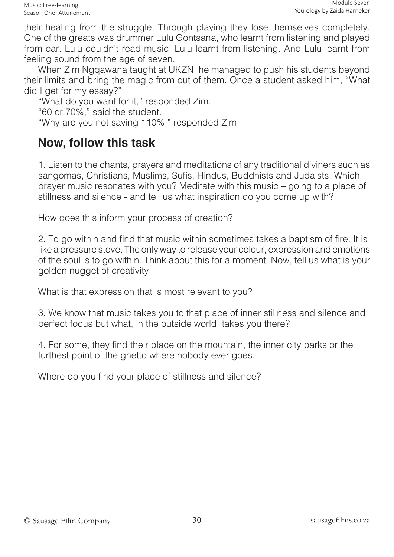their healing from the struggle. Through playing they lose themselves completely. One of the greats was drummer Lulu Gontsana, who learnt from listening and played from ear. Lulu couldn't read music. Lulu learnt from listening. And Lulu learnt from feeling sound from the age of seven.

When Zim Ngqawana taught at UKZN, he managed to push his students beyond their limits and bring the magic from out of them. Once a student asked him, "What did I get for my essay?"

"What do you want for it," responded Zim. "60 or 70%," said the student. "Why are you not saying 110%," responded Zim.

### **Now, follow this task**

1. Listen to the chants, prayers and meditations of any traditional diviners such as sangomas, Christians, Muslims, Sufis, Hindus, Buddhists and Judaists. Which prayer music resonates with you? Meditate with this music – going to a place of stillness and silence - and tell us what inspiration do you come up with?

How does this inform your process of creation?

2. To go within and find that music within sometimes takes a baptism of fire. It is like a pressure stove. The only way to release your colour, expression and emotions of the soul is to go within. Think about this for a moment. Now, tell us what is your golden nugget of creativity.

What is that expression that is most relevant to you?

3. We know that music takes you to that place of inner stillness and silence and perfect focus but what, in the outside world, takes you there?

4. For some, they find their place on the mountain, the inner city parks or the furthest point of the ghetto where nobody ever goes.

Where do you find your place of stillness and silence?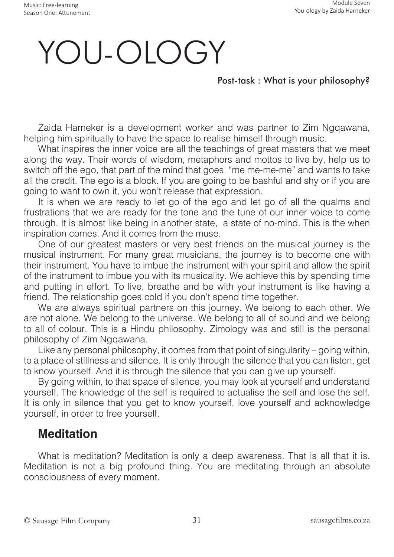# YOU-OLOGY

#### Post-task : What is your philosophy?

Zaida Harneker is a development worker and was partner to Zim Ngqawana, helping him spiritually to have the space to realise himself through music.

What inspires the inner voice are all the teachings of great masters that we meet along the way. Their words of wisdom, metaphors and mottos to live by, help us to switch off the ego, that part of the mind that goes "me me-me-me" and wants to take all the credit. The ego is a block. If you are going to be bashful and shy or if you are going to want to own it, you won't release that expression.

It is when we are ready to let go of the ego and let go of all the qualms and frustrations that we are ready for the tone and the tune of our inner voice to come through. It is almost like being in another state, a state of no-mind. This is the when inspiration comes. And it comes from the muse.

One of our greatest masters or very best friends on the musical journey is the musical instrument. For many great musicians, the journey is to become one with their instrument. You have to imbue the instrument with your spirit and allow the spirit of the instrument to imbue you with its musicality. We achieve this by spending time and putting in effort. To live, breathe and be with your instrument is like having a friend. The relationship goes cold if you don't spend time together.

We are always spiritual partners on this journey. We belong to each other. We are not alone. We belong to the universe. We belong to all of sound and we belong to all of colour. This is a Hindu philosophy. Zimology was and still is the personal philosophy of Zim Ngqawana.

Like any personal philosophy, it comes from that point of singularity – going within, to a place of stillness and silence. It is only through the silence that you can listen, get to know yourself. And it is through the silence that you can give up yourself.

By going within, to that space of silence, you may look at yourself and understand yourself. The knowledge of the self is required to actualise the self and lose the self. It is only in silence that you get to know yourself, love yourself and acknowledge yourself, in order to free yourself.

#### **Meditation**

What is meditation? Meditation is only a deep awareness. That is all that it is. Meditation is not a big profound thing. You are meditating through an absolute consciousness of every moment.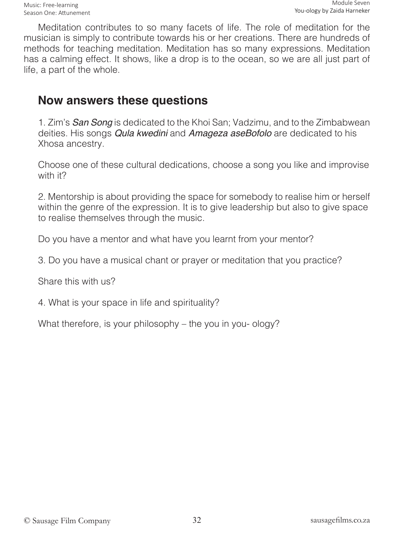Meditation contributes to so many facets of life. The role of meditation for the musician is simply to contribute towards his or her creations. There are hundreds of methods for teaching meditation. Meditation has so many expressions. Meditation has a calming effect. It shows, like a drop is to the ocean, so we are all just part of life, a part of the whole.

#### **Now answers these questions**

1. Zim's *San Song* is dedicated to the Khoi San; Vadzimu, and to the Zimbabwean deities. His songs Qula kwedini and *Amageza aseBofolo* are dedicated to his Xhosa ancestry.

Choose one of these cultural dedications, choose a song you like and improvise with it?

2. Mentorship is about providing the space for somebody to realise him or herself within the genre of the expression. It is to give leadership but also to give space to realise themselves through the music.

Do you have a mentor and what have you learnt from your mentor?

3. Do you have a musical chant or prayer or meditation that you practice?

Share this with us?

4. What is your space in life and spirituality?

What therefore, is your philosophy – the you in you- ology?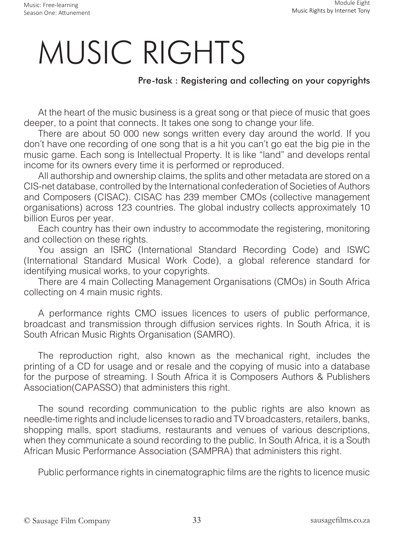# MUSIC RIGHTS

#### Pre-task : Registering and collecting on your copyrights

At the heart of the music business is a great song or that piece of music that goes deeper, to a point that connects. It takes one song to change your life.

There are about 50 000 new songs written every day around the world. If you don't have one recording of one song that is a hit you can't go eat the big pie in the music game. Each song is Intellectual Property. It is like "land" and develops rental income for its owners every time it is performed or reproduced.

All authorship and ownership claims, the splits and other metadata are stored on a CIS-net database, controlled by the International confederation of Societies of Authors and Composers (CISAC). CISAC has 239 member CMOs (collective management organisations) across 123 countries. The global industry collects approximately 10 billion Euros per year.

Each country has their own industry to accommodate the registering, monitoring and collection on these rights.

You assign an ISRC (International Standard Recording Code) and ISWC (International Standard Musical Work Code), a global reference standard for identifying musical works, to your copyrights.

There are 4 main Collecting Management Organisations (CMOs) in South Africa collecting on 4 main music rights.

A performance rights CMO issues licences to users of public performance, broadcast and transmission through diffusion services rights. In South Africa, it is South African Music Rights Organisation (SAMRO).

The reproduction right, also known as the mechanical right, includes the printing of a CD for usage and or resale and the copying of music into a database for the purpose of streaming. I South Africa it is Composers Authors & Publishers Association(CAPASSO) that administers this right.

The sound recording communication to the public rights are also known as needle-time rights and include licenses to radio and TV broadcasters, retailers, banks, shopping malls, sport stadiums, restaurants and venues of various descriptions, when they communicate a sound recording to the public. In South Africa, it is a South African Music Performance Association (SAMPRA) that administers this right.

Public performance rights in cinematographic films are the rights to licence music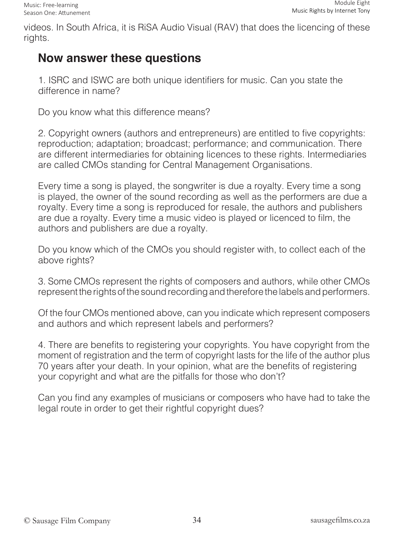videos. In South Africa, it is RiSA Audio Visual (RAV) that does the licencing of these rights.

### **Now answer these questions**

1. ISRC and ISWC are both unique identifiers for music. Can you state the difference in name?

Do you know what this difference means?

2. Copyright owners (authors and entrepreneurs) are entitled to five copyrights: reproduction; adaptation; broadcast; performance; and communication. There are different intermediaries for obtaining licences to these rights. Intermediaries are called CMOs standing for Central Management Organisations.

Every time a song is played, the songwriter is due a royalty. Every time a song is played, the owner of the sound recording as well as the performers are due a royalty. Every time a song is reproduced for resale, the authors and publishers are due a royalty. Every time a music video is played or licenced to film, the authors and publishers are due a royalty.

Do you know which of the CMOs you should register with, to collect each of the above rights?

3. Some CMOs represent the rights of composers and authors, while other CMOs represent the rights of the sound recording and therefore the labels and performers.

Of the four CMOs mentioned above, can you indicate which represent composers and authors and which represent labels and performers?

4. There are benefits to registering your copyrights. You have copyright from the moment of registration and the term of copyright lasts for the life of the author plus 70 years after your death. In your opinion, what are the benefits of registering your copyright and what are the pitfalls for those who don't?

Can you find any examples of musicians or composers who have had to take the legal route in order to get their rightful copyright dues?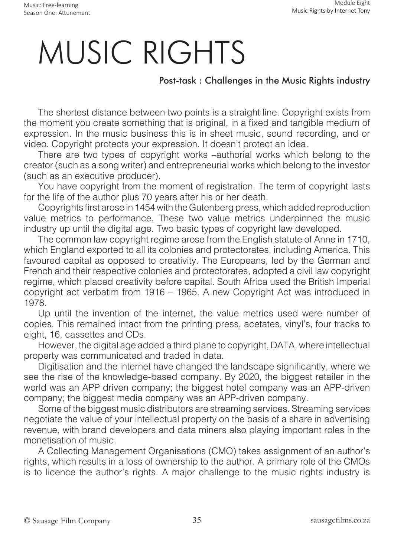# MUSIC RIGHTS

#### Post-task : Challenges in the Music Rights industry

The shortest distance between two points is a straight line. Copyright exists from the moment you create something that is original, in a fixed and tangible medium of expression. In the music business this is in sheet music, sound recording, and or video. Copyright protects your expression. It doesn't protect an idea.

There are two types of copyright works –authorial works which belong to the creator (such as a song writer) and entrepreneurial works which belong to the investor (such as an executive producer).

You have copyright from the moment of registration. The term of copyright lasts for the life of the author plus 70 years after his or her death.

Copyrights first arose in 1454 with the Gutenberg press, which added reproduction value metrics to performance. These two value metrics underpinned the music industry up until the digital age. Two basic types of copyright law developed.

The common law copyright regime arose from the English statute of Anne in 1710, which England exported to all its colonies and protectorates, including America. This favoured capital as opposed to creativity. The Europeans, led by the German and French and their respective colonies and protectorates, adopted a civil law copyright regime, which placed creativity before capital. South Africa used the British Imperial copyright act verbatim from 1916 – 1965. A new Copyright Act was introduced in 1978.

Up until the invention of the internet, the value metrics used were number of copies. This remained intact from the printing press, acetates, vinyl's, four tracks to eight, 16, cassettes and CDs.

However, the digital age added a third plane to copyright, DATA, where intellectual property was communicated and traded in data.

Digitisation and the internet have changed the landscape significantly, where we see the rise of the knowledge-based company. By 2020, the biggest retailer in the world was an APP driven company; the biggest hotel company was an APP-driven company; the biggest media company was an APP-driven company.

Some of the biggest music distributors are streaming services. Streaming services negotiate the value of your intellectual property on the basis of a share in advertising revenue, with brand developers and data miners also playing important roles in the monetisation of music.

A Collecting Management Organisations (CMO) takes assignment of an author's rights, which results in a loss of ownership to the author. A primary role of the CMOs is to licence the author's rights. A major challenge to the music rights industry is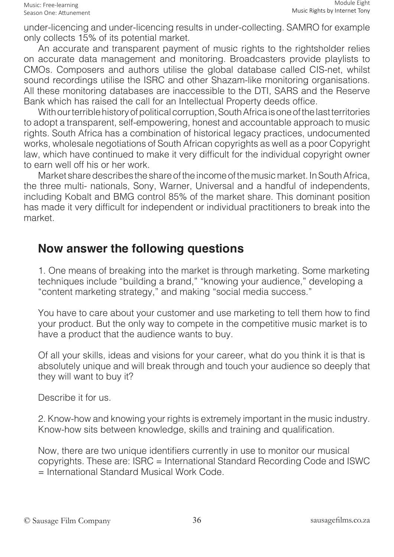under-licencing and under-licencing results in under-collecting. SAMRO for example only collects 15% of its potential market.

An accurate and transparent payment of music rights to the rightsholder relies on accurate data management and monitoring. Broadcasters provide playlists to CMOs. Composers and authors utilise the global database called CIS-net, whilst sound recordings utilise the ISRC and other Shazam-like monitoring organisations. All these monitoring databases are inaccessible to the DTI, SARS and the Reserve Bank which has raised the call for an Intellectual Property deeds office.

With our terrible history of political corruption, South Africa is one of the last territories to adopt a transparent, self-empowering, honest and accountable approach to music rights. South Africa has a combination of historical legacy practices, undocumented works, wholesale negotiations of South African copyrights as well as a poor Copyright law, which have continued to make it very difficult for the individual copyright owner to earn well off his or her work.

Market share describes the share of the income of the music market. In South Africa, the three multi- nationals, Sony, Warner, Universal and a handful of independents, including Kobalt and BMG control 85% of the market share. This dominant position has made it very difficult for independent or individual practitioners to break into the market.

#### **Now answer the following questions**

1. One means of breaking into the market is through marketing. Some marketing techniques include "building a brand," "knowing your audience," developing a "content marketing strategy," and making "social media success."

You have to care about your customer and use marketing to tell them how to find your product. But the only way to compete in the competitive music market is to have a product that the audience wants to buy.

Of all your skills, ideas and visions for your career, what do you think it is that is absolutely unique and will break through and touch your audience so deeply that they will want to buy it?

Describe it for us.

2. Know-how and knowing your rights is extremely important in the music industry. Know-how sits between knowledge, skills and training and qualification.

Now, there are two unique identifiers currently in use to monitor our musical copyrights. These are: ISRC = International Standard Recording Code and ISWC = International Standard Musical Work Code.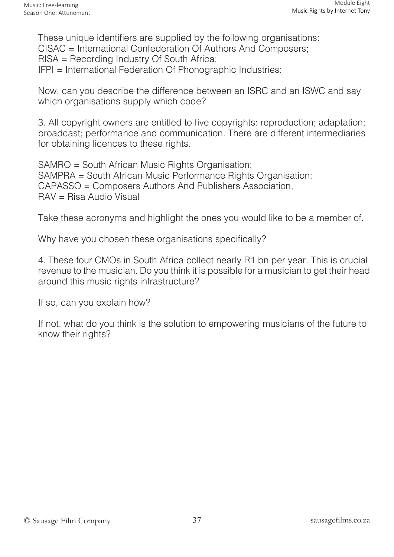These unique identifiers are supplied by the following organisations: CISAC = International Confederation Of Authors And Composers; RISA = Recording Industry Of South Africa; IFPI = International Federation Of Phonographic Industries:

Now, can you describe the difference between an ISRC and an ISWC and say which organisations supply which code?

3. All copyright owners are entitled to five copyrights: reproduction; adaptation; broadcast; performance and communication. There are different intermediaries for obtaining licences to these rights.

SAMRO = South African Music Rights Organisation; SAMPRA = South African Music Performance Rights Organisation; CAPASSO = Composers Authors And Publishers Association, RAV = Risa Audio Visual

Take these acronyms and highlight the ones you would like to be a member of.

Why have you chosen these organisations specifically?

4. These four CMOs in South Africa collect nearly R1 bn per year. This is crucial revenue to the musician. Do you think it is possible for a musician to get their head around this music rights infrastructure?

If so, can you explain how?

If not, what do you think is the solution to empowering musicians of the future to know their rights?